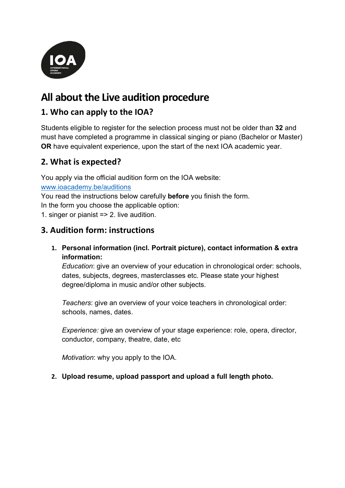

# All about the Live audition procedure

# 1. Who can apply to the IOA?

Students eligible to register for the selection process must not be older than 32 and must have completed a programme in classical singing or piano (Bachelor or Master) OR have equivalent experience, upon the start of the next IOA academic year.

# 2. What is expected?

You apply via the official audition form on the IOA website: www.ioacademy.be/auditions You read the instructions below carefully **before** you finish the form. In the form you choose the applicable option:

1. singer or pianist => 2. live audition.

#### 3. Audition form: instructions

1. Personal information (incl. Portrait picture), contact information & extra information:

Education: give an overview of your education in chronological order: schools, dates, subjects, degrees, masterclasses etc. Please state your highest degree/diploma in music and/or other subjects.

Teachers: give an overview of your voice teachers in chronological order: schools, names, dates.

Experience: give an overview of your stage experience: role, opera, director, conductor, company, theatre, date, etc

Motivation: why you apply to the IOA.

#### 2. Upload resume, upload passport and upload a full length photo.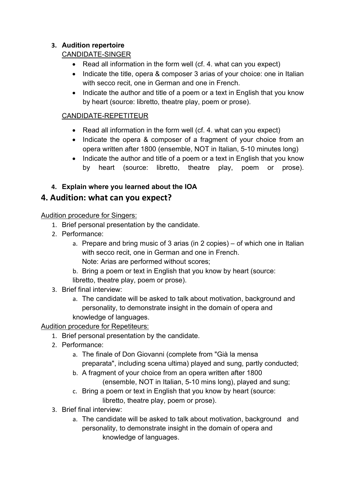#### 3. Audition repertoire

#### CANDIDATE-SINGER

- Read all information in the form well (cf. 4. what can you expect)
- Indicate the title, opera & composer 3 arias of your choice; one in Italian with secco recit, one in German and one in French.
- Indicate the author and title of a poem or a text in English that you know by heart (source: libretto, theatre play, poem or prose).

#### CANDIDATE-REPETITEUR

- Read all information in the form well (cf. 4. what can you expect)
- Indicate the opera & composer of a fragment of your choice from an opera written after 1800 (ensemble, NOT in Italian, 5-10 minutes long)
- Indicate the author and title of a poem or a text in English that you know by heart (source: libretto, theatre play, poem or prose).

### 4. Explain where you learned about the IOA

# 4. Audition: what can you expect?

Audition procedure for Singers:

- 1. Brief personal presentation by the candidate.
- 2. Performance:
	- a. Prepare and bring music of 3 arias (in 2 copies) of which one in Italian with secco recit, one in German and one in French. Note: Arias are performed without scores;
	- b. Bring a poem or text in English that you know by heart (source: libretto, theatre play, poem or prose).
- 3. Brief final interview:
	- a. The candidate will be asked to talk about motivation, background and personality, to demonstrate insight in the domain of opera and knowledge of languages.

#### Audition procedure for Repetiteurs:

- 1. Brief personal presentation by the candidate.
- 2. Performance:
	- a. The finale of Don Giovanni (complete from "Già la mensa preparata", including scena ultima) played and sung, partly conducted;
	- b. A fragment of your choice from an opera written after 1800 (ensemble, NOT in Italian, 5-10 mins long), played and sung;
	- c. Bring a poem or text in English that you know by heart (source: libretto, theatre play, poem or prose).
- 3. Brief final interview:
	- a. The candidate will be asked to talk about motivation, background and personality, to demonstrate insight in the domain of opera and knowledge of languages.